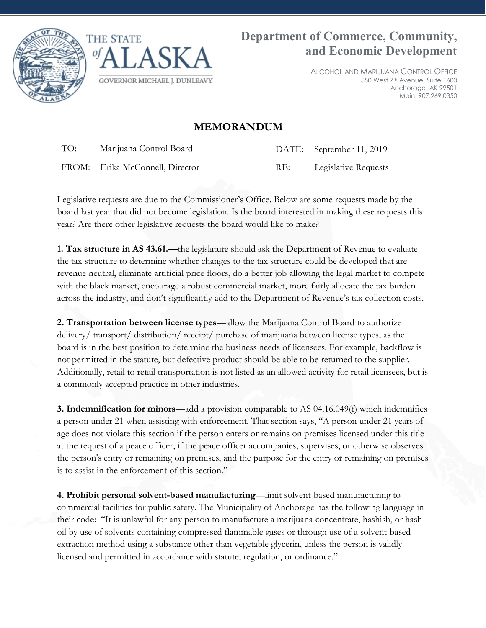



ALCOHOL AND MARIJUANA CONTROL OFFICE 550 West 7th Avenue, Suite 1600 Anchorage, AK 99501 Main: 907.269.0350

## **MEMORANDUM**

TO: Marijuana Control Board DATE: September 11, 2019

FROM: Erika McConnell, Director RE: Legislative Requests

Legislative requests are due to the Commissioner's Office. Below are some requests made by the board last year that did not become legislation. Is the board interested in making these requests this year? Are there other legislative requests the board would like to make?

**1. Tax structure in AS 43.61.—**the legislature should ask the Department of Revenue to evaluate the tax structure to determine whether changes to the tax structure could be developed that are revenue neutral, eliminate artificial price floors, do a better job allowing the legal market to compete with the black market, encourage a robust commercial market, more fairly allocate the tax burden across the industry, and don't significantly add to the Department of Revenue's tax collection costs.

**2. Transportation between license types**—allow the Marijuana Control Board to authorize delivery/ transport/ distribution/ receipt/ purchase of marijuana between license types, as the board is in the best position to determine the business needs of licensees. For example, backflow is not permitted in the statute, but defective product should be able to be returned to the supplier. Additionally, retail to retail transportation is not listed as an allowed activity for retail licensees, but is a commonly accepted practice in other industries.

**3. Indemnification for minors**—add a provision comparable to AS 04.16.049(f) which indemnifies a person under 21 when assisting with enforcement. That section says, "A person under 21 years of age does not violate this section if the person enters or remains on premises licensed under this title at the request of a peace officer, if the peace officer accompanies, supervises, or otherwise observes the person's entry or remaining on premises, and the purpose for the entry or remaining on premises is to assist in the enforcement of this section."

**4. Prohibit personal solvent-based manufacturing**—limit solvent-based manufacturing to commercial facilities for public safety. The Municipality of Anchorage has the following language in their code: "It is unlawful for any person to manufacture a marijuana concentrate, hashish, or hash oil by use of solvents containing compressed flammable gases or through use of a solvent-based extraction method using a substance other than vegetable glycerin, unless the person is validly licensed and permitted in accordance with statute, regulation, or ordinance."